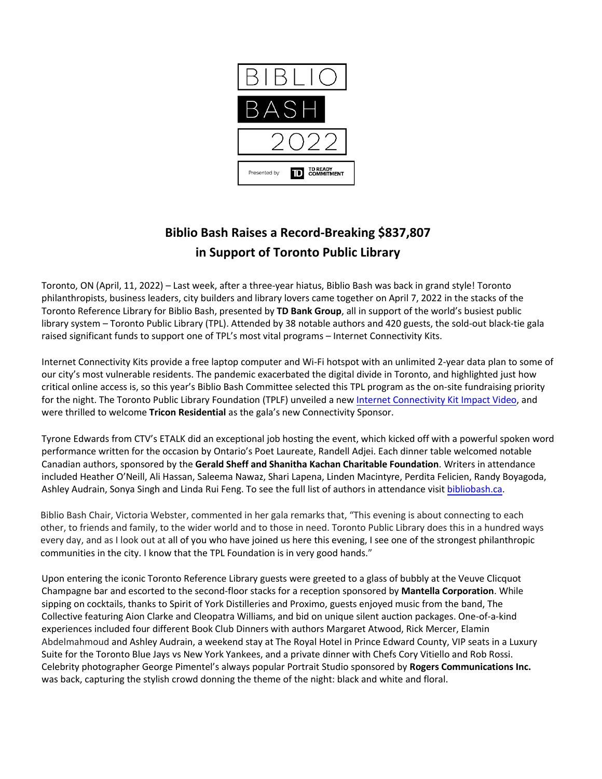

# **Biblio Bash Raises a Record-Breaking \$837,807 in Support of Toronto Public Library**

Toronto, ON (April, 11, 2022) – Last week, after a three-year hiatus, Biblio Bash was back in grand style! Toronto philanthropists, business leaders, city builders and library lovers came together on April 7, 2022 in the stacks of the Toronto Reference Library for Biblio Bash, presented by **TD Bank Group**, all in support of the world's busiest public library system – Toronto Public Library (TPL). Attended by 38 notable authors and 420 guests, the sold-out black-tie gala raised significant funds to support one of TPL's most vital programs – Internet Connectivity Kits.

Internet Connectivity Kits provide a free laptop computer and Wi-Fi hotspot with an unlimited 2-year data plan to some of our city's most vulnerable residents. The pandemic exacerbated the digital divide in Toronto, and highlighted just how critical online access is, so this year's Biblio Bash Committee selected this TPL program as the on-site fundraising priority for the night. The Toronto Public Library Foundation (TPLF) unveiled a new [Internet Connectivity Kit Impact Video,](https://www.youtube.com/watch?v=PZ3ir1Wcqac) and were thrilled to welcome **Tricon Residential** as the gala's new Connectivity Sponsor.

Tyrone Edwards from CTV's ETALK did an exceptional job hosting the event, which kicked off with a powerful spoken word performance written for the occasion by Ontario's Poet Laureate, Randell Adjei. Each dinner table welcomed notable Canadian authors, sponsored by the **Gerald Sheff and Shanitha Kachan Charitable Foundation**. Writers in attendance included Heather O'Neill, Ali Hassan, Saleema Nawaz, Shari Lapena, Linden Macintyre, Perdita Felicien, Randy Boyagoda, Ashley Audrain, Sonya Singh and Linda Rui Feng. To see the full list of authors in attendance visit [bibliobash.ca.](https://whygive.tplfoundation.ca/biblio-bash/)

Biblio Bash Chair, Victoria Webster, commented in her gala remarks that, "This evening is about connecting to each other, to friends and family, to the wider world and to those in need. Toronto Public Library does this in a hundred ways every day, and as I look out at all of you who have joined us here this evening, I see one of the strongest philanthropic communities in the city. I know that the TPL Foundation is in very good hands."

Upon entering the iconic Toronto Reference Library guests were greeted to a glass of bubbly at the Veuve Clicquot Champagne bar and escorted to the second-floor stacks for a reception sponsored by **Mantella Corporation**. While sipping on cocktails, thanks to Spirit of York Distilleries and Proximo, guests enjoyed music from the band, The Collective featuring Aion Clarke and Cleopatra Williams, and bid on unique silent auction packages. One-of-a-kind experiences included four different Book Club Dinners with authors Margaret Atwood, Rick Mercer, Elamin Abdelmahmoud and Ashley Audrain, a weekend stay at The Royal Hotel in Prince Edward County, VIP seats in a Luxury Suite for the Toronto Blue Jays vs New York Yankees, and a private dinner with Chefs Cory Vitiello and Rob Rossi. Celebrity photographer George Pimentel's always popular Portrait Studio sponsored by **Rogers Communications Inc.** was back, capturing the stylish crowd donning the theme of the night: black and white and floral.